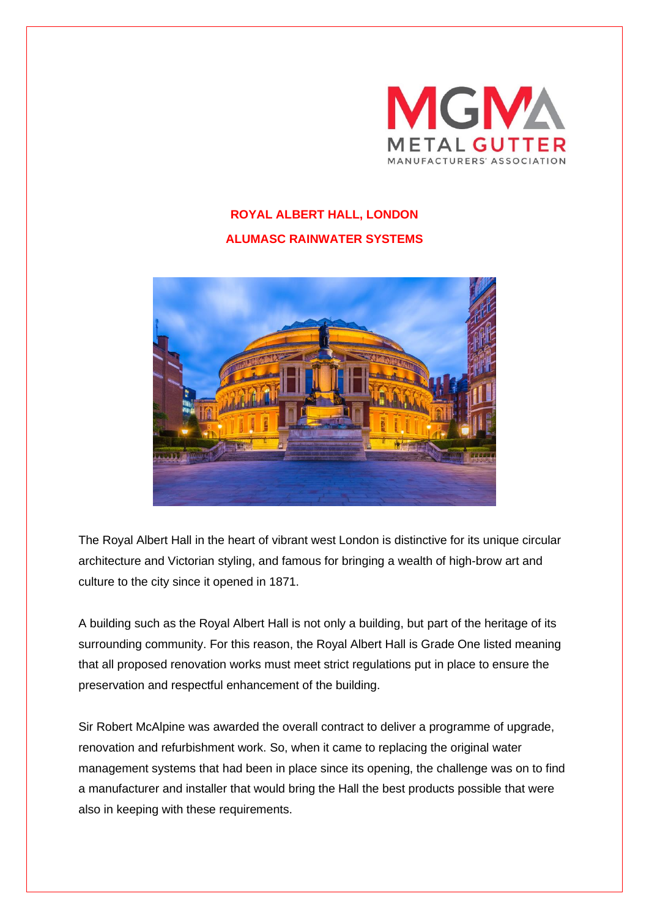

## **ROYAL ALBERT HALL, LONDON ALUMASC RAINWATER SYSTEMS**



The Royal Albert Hall in the heart of vibrant west London is distinctive for its unique circular architecture and Victorian styling, and famous for bringing a wealth of high-brow art and culture to the city since it opened in 1871.

A building such as the Royal Albert Hall is not only a building, but part of the heritage of its surrounding community. For this reason, the Royal Albert Hall is Grade One listed meaning that all proposed renovation works must meet strict regulations put in place to ensure the preservation and respectful enhancement of the building.

Sir Robert McAlpine was awarded the overall contract to deliver a programme of upgrade, renovation and refurbishment work. So, when it came to replacing the original water management systems that had been in place since its opening, the challenge was on to find a manufacturer and installer that would bring the Hall the best products possible that were also in keeping with these requirements.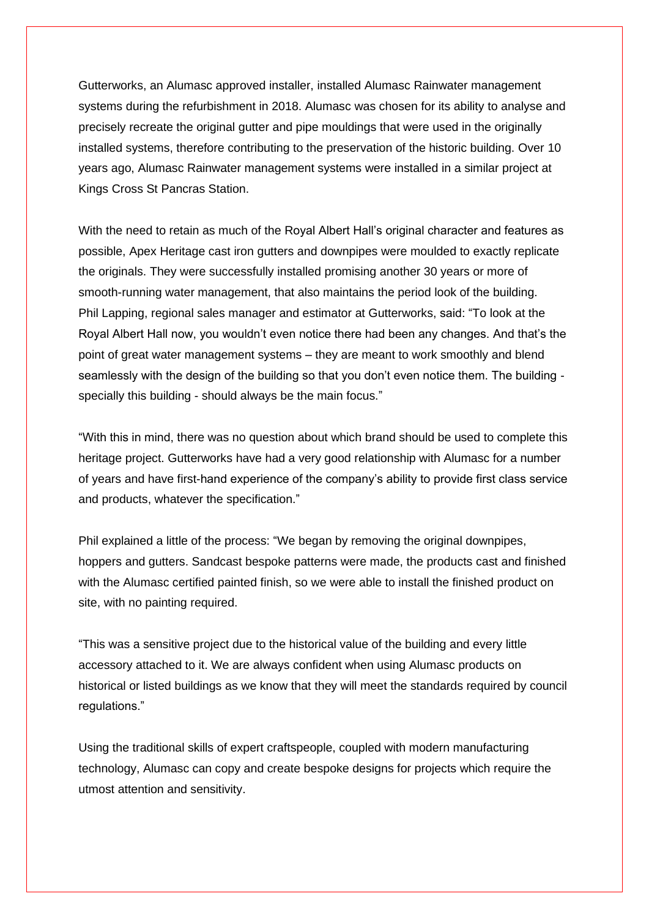Gutterworks, an Alumasc approved installer, installed Alumasc Rainwater management systems during the refurbishment in 2018. Alumasc was chosen for its ability to analyse and precisely recreate the original gutter and pipe mouldings that were used in the originally installed systems, therefore contributing to the preservation of the historic building. Over 10 years ago, Alumasc Rainwater management systems were installed in a similar project at Kings Cross St Pancras Station.

With the need to retain as much of the Royal Albert Hall's original character and features as possible, Apex Heritage cast iron gutters and downpipes were moulded to exactly replicate the originals. They were successfully installed promising another 30 years or more of smooth-running water management, that also maintains the period look of the building. Phil Lapping, regional sales manager and estimator at Gutterworks, said: "To look at the Royal Albert Hall now, you wouldn't even notice there had been any changes. And that's the point of great water management systems – they are meant to work smoothly and blend seamlessly with the design of the building so that you don't even notice them. The building specially this building - should always be the main focus."

"With this in mind, there was no question about which brand should be used to complete this heritage project. Gutterworks have had a very good relationship with Alumasc for a number of years and have first-hand experience of the company's ability to provide first class service and products, whatever the specification."

Phil explained a little of the process: "We began by removing the original downpipes, hoppers and gutters. Sandcast bespoke patterns were made, the products cast and finished with the Alumasc certified painted finish, so we were able to install the finished product on site, with no painting required.

"This was a sensitive project due to the historical value of the building and every little accessory attached to it. We are always confident when using Alumasc products on historical or listed buildings as we know that they will meet the standards required by council regulations."

Using the traditional skills of expert craftspeople, coupled with modern manufacturing technology, Alumasc can copy and create bespoke designs for projects which require the utmost attention and sensitivity.